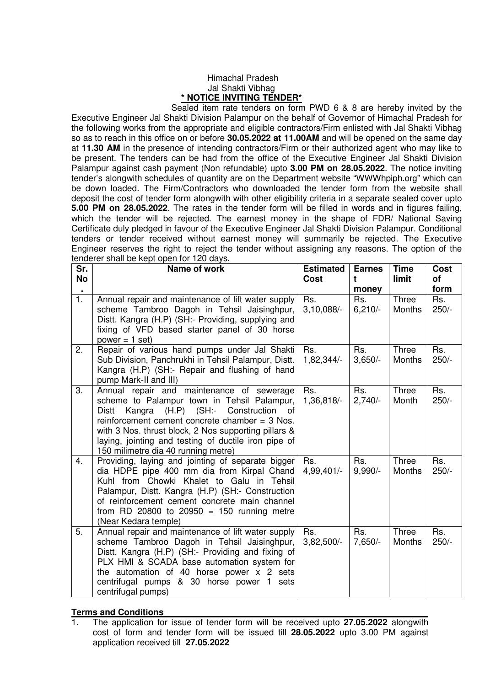## Himachal Pradesh Jal Shakti Vibhag **\* NOTICE INVITING TENDER\***

 Sealed item rate tenders on form PWD 6 & 8 are hereby invited by the Executive Engineer Jal Shakti Division Palampur on the behalf of Governor of Himachal Pradesh for the following works from the appropriate and eligible contractors/Firm enlisted with Jal Shakti Vibhag so as to reach in this office on or before **30.05.2022 at 11.00AM** and will be opened on the same day at **11.30 AM** in the presence of intending contractors/Firm or their authorized agent who may like to be present. The tenders can be had from the office of the Executive Engineer Jal Shakti Division Palampur against cash payment (Non refundable) upto **3.00 PM on 28.05.2022**. The notice inviting tender's alongwith schedules of quantity are on the Department website "WWWhpiph.org" which can be down loaded. The Firm/Contractors who downloaded the tender form from the website shall deposit the cost of tender form alongwith with other eligibility criteria in a separate sealed cover upto **5.00 PM on 28.05.2022**. The rates in the tender form will be filled in words and in figures failing, which the tender will be rejected. The earnest money in the shape of FDR/ National Saving Certificate duly pledged in favour of the Executive Engineer Jal Shakti Division Palampur. Conditional tenders or tender received without earnest money will summarily be rejected. The Executive Engineer reserves the right to reject the tender without assigning any reasons. The option of the tenderer shall be kept open for 120 days.

| Sr.<br><b>No</b> | Name of work                                                                                                                                                                                                                                                                                                                                          | <b>Estimated</b><br>Cost | <b>Earnes</b><br>t        | <b>Time</b><br>limit   | Cost<br>οf<br>form |
|------------------|-------------------------------------------------------------------------------------------------------------------------------------------------------------------------------------------------------------------------------------------------------------------------------------------------------------------------------------------------------|--------------------------|---------------------------|------------------------|--------------------|
| 1.               | Annual repair and maintenance of lift water supply<br>scheme Tambroo Dagoh in Tehsil Jaisinghpur,<br>Distt. Kangra (H.P) (SH:- Providing, supplying and<br>fixing of VFD based starter panel of 30 horse<br>$power = 1 set$                                                                                                                           | Rs.<br>$3,10,088/-$      | money<br>Rs.<br>$6,210/-$ | <b>Three</b><br>Months | Rs.<br>$250/-$     |
| 2.               | Repair of various hand pumps under Jal Shakti<br>Sub Division, Panchrukhi in Tehsil Palampur, Distt.<br>Kangra (H.P) (SH:- Repair and flushing of hand<br>pump Mark-II and III)                                                                                                                                                                       | Rs.<br>1,82,344/-        | Rs.<br>$3,650/-$          | Three<br>Months        | Rs.<br>$250/-$     |
| 3.               | Annual repair and maintenance of sewerage<br>scheme to Palampur town in Tehsil Palampur,<br>Kangra (H.P) (SH:- Construction<br>Distt<br>0f<br>reinforcement cement concrete chamber $=$ 3 Nos.<br>with 3 Nos. thrust block, 2 Nos supporting pillars &<br>laying, jointing and testing of ductile iron pipe of<br>150 milimetre dia 40 running metre) | Rs.<br>1,36,818/-        | Rs.<br>$2,740/-$          | <b>Three</b><br>Month  | Rs.<br>$250/-$     |
| 4.               | Providing, laying and jointing of separate bigger<br>dia HDPE pipe 400 mm dia from Kirpal Chand<br>Kuhl from Chowki Khalet to Galu in Tehsil<br>Palampur, Distt. Kangra (H.P) (SH:- Construction<br>of reinforcement cement concrete main channel<br>from RD 20800 to 20950 = 150 running metre<br>(Near Kedara temple)                               | Rs.<br>4,99,401/-        | Rs.<br>$9,990/-$          | Three<br>Months        | Rs.<br>$250/-$     |
| 5.               | Annual repair and maintenance of lift water supply<br>scheme Tambroo Dagoh in Tehsil Jaisinghpur,<br>Distt. Kangra (H.P) (SH:- Providing and fixing of<br>PLX HMI & SCADA base automation system for<br>the automation of 40 horse power x 2 sets<br>centrifugal pumps & 30 horse power 1 sets<br>centrifugal pumps)                                  | Rs.<br>$3,82,500/-$      | Rs.<br>7,650/-            | <b>Three</b><br>Months | Rs.<br>$250/-$     |

## **Terms and Conditions**

1. The application for issue of tender form will be received upto **27.05.2022** alongwith cost of form and tender form will be issued till **28.05.2022** upto 3.00 PM against application received till **27.05.2022**